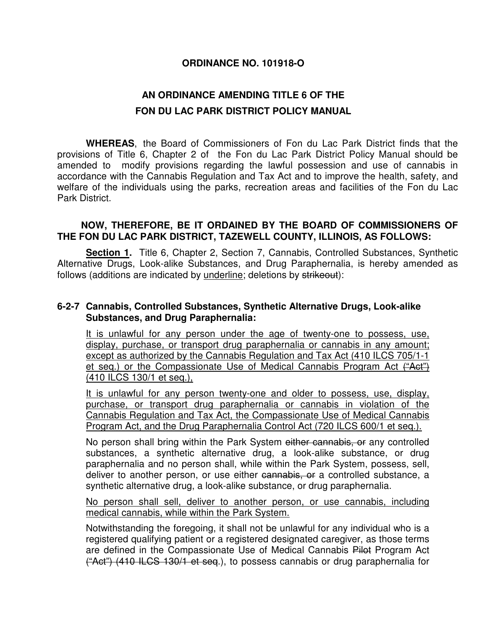## **ORDINANCE NO. 101918-O**

## **AN ORDINANCE AMENDING TITLE 6 OF THE FON DU LAC PARK DISTRICT POLICY MANUAL**

 **WHEREAS**, the Board of Commissioners of Fon du Lac Park District finds that the provisions of Title 6, Chapter 2 of the Fon du Lac Park District Policy Manual should be amended to modify provisions regarding the lawful possession and use of cannabis in accordance with the Cannabis Regulation and Tax Act and to improve the health, safety, and welfare of the individuals using the parks, recreation areas and facilities of the Fon du Lac Park District.

## **NOW, THEREFORE, BE IT ORDAINED BY THE BOARD OF COMMISSIONERS OF THE FON DU LAC PARK DISTRICT, TAZEWELL COUNTY, ILLINOIS, AS FOLLOWS:**

 **Section 1.** Title 6, Chapter 2, Section 7, Cannabis, Controlled Substances, Synthetic Alternative Drugs, Look-alike Substances, and Drug Paraphernalia, is hereby amended as follows (additions are indicated by underline; deletions by strikeout):

## **6-2-7 Cannabis, Controlled Substances, Synthetic Alternative Drugs, Look-alike Substances, and Drug Paraphernalia:**

It is unlawful for any person under the age of twenty-one to possess, use, display, purchase, or transport drug paraphernalia or cannabis in any amount; except as authorized by the Cannabis Regulation and Tax Act (410 ILCS 705/1-1 et seq.) or the Compassionate Use of Medical Cannabis Program Act ("Act") (410 ILCS 130/1 et seq.),

It is unlawful for any person twenty-one and older to possess, use, display, purchase, or transport drug paraphernalia or cannabis in violation of the Cannabis Regulation and Tax Act, the Compassionate Use of Medical Cannabis Program Act, and the Drug Paraphernalia Control Act (720 ILCS 600/1 et seq.).

No person shall bring within the Park System either cannabis, or any controlled substances, a synthetic alternative drug, a look-alike substance, or drug paraphernalia and no person shall, while within the Park System, possess, sell, deliver to another person, or use either cannabis, or a controlled substance, a synthetic alternative drug, a look-alike substance, or drug paraphernalia.

No person shall sell, deliver to another person, or use cannabis, including medical cannabis, while within the Park System.

Notwithstanding the foregoing, it shall not be unlawful for any individual who is a registered qualifying patient or a registered designated caregiver, as those terms are defined in the Compassionate Use of Medical Cannabis Pilot Program Act ("Act") (410 ILCS 130/1 et seq.), to possess cannabis or drug paraphernalia for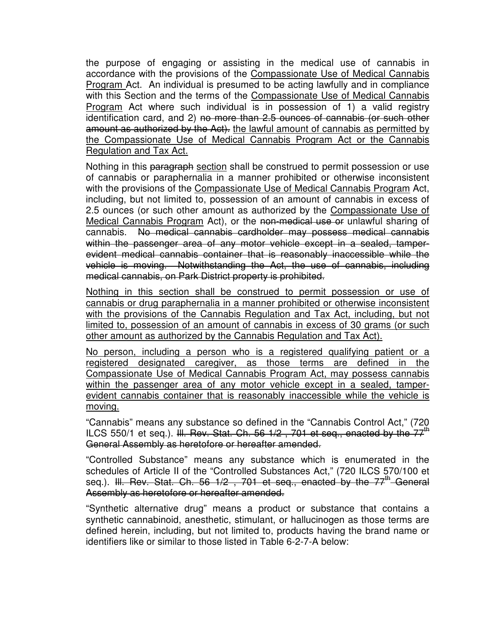the purpose of engaging or assisting in the medical use of cannabis in accordance with the provisions of the Compassionate Use of Medical Cannabis Program Act. An individual is presumed to be acting lawfully and in compliance with this Section and the terms of the Compassionate Use of Medical Cannabis Program Act where such individual is in possession of 1) a valid registry identification card, and 2) no more than 2.5 ounces of cannabis (or such other amount as authorized by the Act). the lawful amount of cannabis as permitted by the Compassionate Use of Medical Cannabis Program Act or the Cannabis Regulation and Tax Act.

Nothing in this paragraph section shall be construed to permit possession or use of cannabis or paraphernalia in a manner prohibited or otherwise inconsistent with the provisions of the Compassionate Use of Medical Cannabis Program Act, including, but not limited to, possession of an amount of cannabis in excess of 2.5 ounces (or such other amount as authorized by the Compassionate Use of Medical Cannabis Program Act), or the non-medical use or unlawful sharing of cannabis. No medical cannabis cardholder may possess medical cannabis within the passenger area of any motor vehicle except in a sealed, tamperevident medical cannabis container that is reasonably inaccessible while the vehicle is moving. Notwithstanding the Act, the use of cannabis, including medical cannabis, on Park District property is prohibited.

Nothing in this section shall be construed to permit possession or use of cannabis or drug paraphernalia in a manner prohibited or otherwise inconsistent with the provisions of the Cannabis Regulation and Tax Act, including, but not limited to, possession of an amount of cannabis in excess of 30 grams (or such other amount as authorized by the Cannabis Regulation and Tax Act).

No person, including a person who is a registered qualifying patient or a registered designated caregiver, as those terms are defined in the Compassionate Use of Medical Cannabis Program Act, may possess cannabis within the passenger area of any motor vehicle except in a sealed, tamperevident cannabis container that is reasonably inaccessible while the vehicle is moving.

"Cannabis" means any substance so defined in the "Cannabis Control Act," (720 ILCS 550/1 et seq.). III. Rev. Stat. Ch. 56  $1/2$ , 701 et seq., enacted by the  $77<sup>th</sup>$ General Assembly as heretofore or hereafter amended.

"Controlled Substance" means any substance which is enumerated in the schedules of Article II of the "Controlled Substances Act," (720 ILCS 570/100 et seg.). <del>III. Rev. Stat. Ch. 56 1/2, 701 et seg., enacted by the 77<sup>th</sup> General</del> Assembly as heretofore or hereafter amended.

"Synthetic alternative drug" means a product or substance that contains a synthetic cannabinoid, anesthetic, stimulant, or hallucinogen as those terms are defined herein, including, but not limited to, products having the brand name or identifiers like or similar to those listed in Table 6-2-7-A below: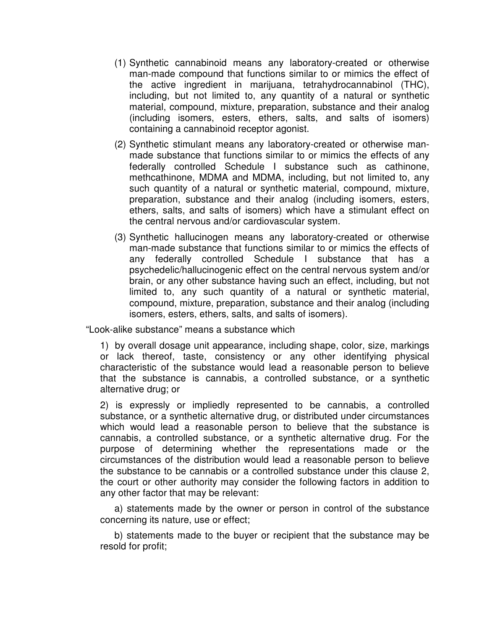- (1) Synthetic cannabinoid means any laboratory-created or otherwise man-made compound that functions similar to or mimics the effect of the active ingredient in marijuana, tetrahydrocannabinol (THC), including, but not limited to, any quantity of a natural or synthetic material, compound, mixture, preparation, substance and their analog (including isomers, esters, ethers, salts, and salts of isomers) containing a cannabinoid receptor agonist.
- (2) Synthetic stimulant means any laboratory-created or otherwise manmade substance that functions similar to or mimics the effects of any federally controlled Schedule I substance such as cathinone, methcathinone, MDMA and MDMA, including, but not limited to, any such quantity of a natural or synthetic material, compound, mixture, preparation, substance and their analog (including isomers, esters, ethers, salts, and salts of isomers) which have a stimulant effect on the central nervous and/or cardiovascular system.
- (3) Synthetic hallucinogen means any laboratory-created or otherwise man-made substance that functions similar to or mimics the effects of any federally controlled Schedule I substance that has a psychedelic/hallucinogenic effect on the central nervous system and/or brain, or any other substance having such an effect, including, but not limited to, any such quantity of a natural or synthetic material, compound, mixture, preparation, substance and their analog (including isomers, esters, ethers, salts, and salts of isomers).

"Look-alike substance" means a substance which

1) by overall dosage unit appearance, including shape, color, size, markings or lack thereof, taste, consistency or any other identifying physical characteristic of the substance would lead a reasonable person to believe that the substance is cannabis, a controlled substance, or a synthetic alternative drug; or

2) is expressly or impliedly represented to be cannabis, a controlled substance, or a synthetic alternative drug, or distributed under circumstances which would lead a reasonable person to believe that the substance is cannabis, a controlled substance, or a synthetic alternative drug. For the purpose of determining whether the representations made or the circumstances of the distribution would lead a reasonable person to believe the substance to be cannabis or a controlled substance under this clause 2, the court or other authority may consider the following factors in addition to any other factor that may be relevant:

a) statements made by the owner or person in control of the substance concerning its nature, use or effect;

b) statements made to the buyer or recipient that the substance may be resold for profit;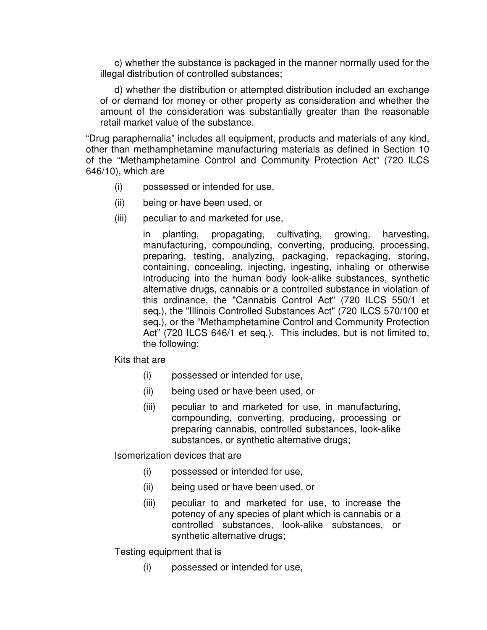c) whether the substance is packaged in the manner normally used for the illegal distribution of controlled substances;

d) whether the distribution or attempted distribution included an exchange of or demand for money or other property as consideration and whether the amount of the consideration was substantially greater than the reasonable retail market value of the substance.

"Drug paraphernalia" includes all equipment, products and materials of any kind, other than methamphetamine manufacturing materials as defined in Section 10 of the "Methamphetamine Control and Community Protection Act" (720 ILCS 646/10), which are

- (i) possessed or intended for use,
- (ii) being or have been used, or
- (iii) peculiar to and marketed for use,

in planting, propagating, cultivating, growing, harvesting, manufacturing, compounding, converting, producing, processing, preparing, testing, analyzing, packaging, repackaging, storing, containing, concealing, injecting, ingesting, inhaling or otherwise introducing into the human body look-alike substances, synthetic alternative drugs, cannabis or a controlled substance in violation of this ordinance, the "Cannabis Control Act" (720 ILCS 550/1 et seq.), the "Illinois Controlled Substances Act" (720 ILCS 570/100 et seq.), or the "Methamphetamine Control and Community Protection Act" (720 ILCS 646/1 et seq.). This includes, but is not limited to, the following:

Kits that are

- (i) possessed or intended for use,
- (ii) being used or have been used, or
- (iii) peculiar to and marketed for use, in manufacturing, compounding, converting, producing, processing or preparing cannabis, controlled substances, look-alike substances, or synthetic alternative drugs;

Isomerization devices that are

- (i) possessed or intended for use,
- (ii) being used or have been used, or
- (iii) peculiar to and marketed for use, to increase the potency of any species of plant which is cannabis or a controlled substances, look-alike substances, or synthetic alternative drugs;

Testing equipment that is

(i) possessed or intended for use,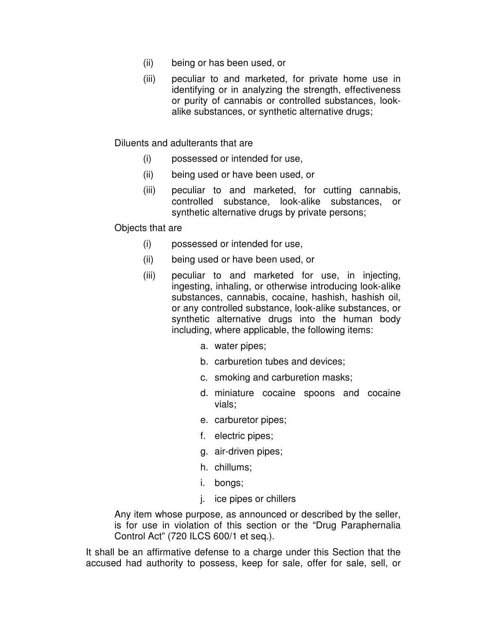- (ii) being or has been used, or
- (iii) peculiar to and marketed, for private home use in identifying or in analyzing the strength, effectiveness or purity of cannabis or controlled substances, lookalike substances, or synthetic alternative drugs;

Diluents and adulterants that are

- (i) possessed or intended for use,
- (ii) being used or have been used, or
- (iii) peculiar to and marketed, for cutting cannabis, controlled substance, look-alike substances, or synthetic alternative drugs by private persons;

Objects that are

- (i) possessed or intended for use,
- (ii) being used or have been used, or
- (iii) peculiar to and marketed for use, in injecting, ingesting, inhaling, or otherwise introducing look-alike substances, cannabis, cocaine, hashish, hashish oil, or any controlled substance, look-alike substances, or synthetic alternative drugs into the human body including, where applicable, the following items:
	- a. water pipes;
	- b. carburetion tubes and devices;
	- c. smoking and carburetion masks;
	- d. miniature cocaine spoons and cocaine vials;
	- e. carburetor pipes;
	- f. electric pipes;
	- g. air-driven pipes;
	- h. chillums;
	- i. bongs;
	- j. ice pipes or chillers

Any item whose purpose, as announced or described by the seller, is for use in violation of this section or the "Drug Paraphernalia Control Act" (720 ILCS 600/1 et seq.).

It shall be an affirmative defense to a charge under this Section that the accused had authority to possess, keep for sale, offer for sale, sell, or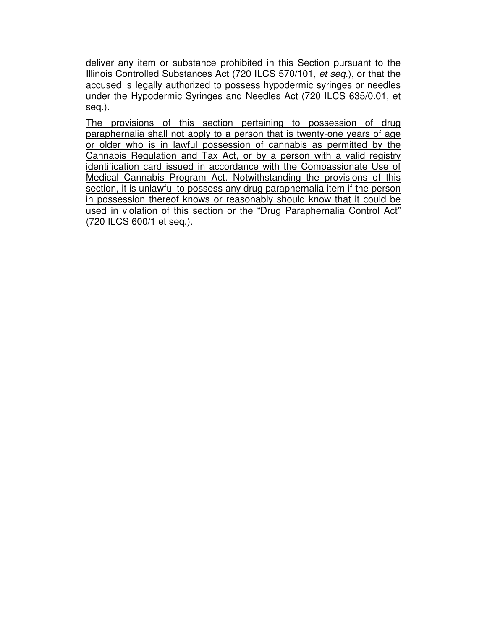deliver any item or substance prohibited in this Section pursuant to the Illinois Controlled Substances Act (720 ILCS 570/101, et seq.), or that the accused is legally authorized to possess hypodermic syringes or needles under the Hypodermic Syringes and Needles Act (720 ILCS 635/0.01, et seq.).

The provisions of this section pertaining to possession of drug paraphernalia shall not apply to a person that is twenty-one years of age or older who is in lawful possession of cannabis as permitted by the Cannabis Regulation and Tax Act, or by a person with a valid registry identification card issued in accordance with the Compassionate Use of Medical Cannabis Program Act. Notwithstanding the provisions of this section, it is unlawful to possess any drug paraphernalia item if the person in possession thereof knows or reasonably should know that it could be used in violation of this section or the "Drug Paraphernalia Control Act" (720 ILCS 600/1 et seq.).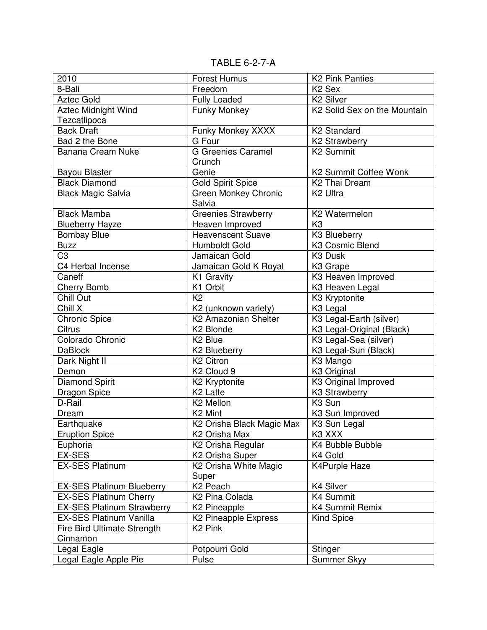TABLE 6-2-7-A

| 2010                              | <b>Forest Humus</b>                   | <b>K2 Pink Panties</b>       |
|-----------------------------------|---------------------------------------|------------------------------|
| 8-Bali                            | Freedom                               | K <sub>2</sub> Sex           |
| <b>Aztec Gold</b>                 | <b>Fully Loaded</b>                   | K <sub>2</sub> Silver        |
| <b>Aztec Midnight Wind</b>        | <b>Funky Monkey</b>                   | K2 Solid Sex on the Mountain |
| Tezcatlipoca                      |                                       |                              |
| <b>Back Draft</b>                 | Funky Monkey XXXX                     | K <sub>2</sub> Standard      |
| Bad 2 the Bone                    | G Four                                | <b>K2 Strawberry</b>         |
| <b>Banana Cream Nuke</b>          | <b>G</b> Greenies Caramel             | K <sub>2</sub> Summit        |
|                                   | Crunch                                |                              |
| <b>Bayou Blaster</b>              | Genie                                 | K2 Summit Coffee Wonk        |
| <b>Black Diamond</b>              | <b>Gold Spirit Spice</b>              | K <sub>2</sub> Thai Dream    |
| <b>Black Magic Salvia</b>         | <b>Green Monkey Chronic</b><br>Salvia | K <sub>2</sub> Ultra         |
| <b>Black Mamba</b>                | Greenies Strawberry                   | K2 Watermelon                |
| <b>Blueberry Hayze</b>            | Heaven Improved                       | K <sub>3</sub>               |
| <b>Bombay Blue</b>                | <b>Heavenscent Suave</b>              | K3 Blueberry                 |
| <b>Buzz</b>                       | Humboldt Gold                         | K3 Cosmic Blend              |
| C3                                | Jamaican Gold                         | K <sub>3</sub> Dusk          |
| C4 Herbal Incense                 | Jamaican Gold K Royal                 | K <sub>3</sub> Grape         |
| Caneff                            | K1 Gravity                            | K3 Heaven Improved           |
| <b>Cherry Bomb</b>                | K1 Orbit                              | K3 Heaven Legal              |
| Chill Out                         | K <sub>2</sub>                        | K3 Kryptonite                |
| Chill X                           | K2 (unknown variety)                  | K <sub>3</sub> Legal         |
| <b>Chronic Spice</b>              | <b>K2 Amazonian Shelter</b>           | K3 Legal-Earth (silver)      |
| <b>Citrus</b>                     | K <sub>2</sub> Blonde                 | K3 Legal-Original (Black)    |
| Colorado Chronic                  | K <sub>2</sub> Blue                   | K3 Legal-Sea (silver)        |
| <b>DaBlock</b>                    | K2 Blueberry                          | K3 Legal-Sun (Black)         |
| Dark Night II                     | K <sub>2</sub> Citron                 | K3 Mango                     |
| Demon                             | K <sub>2</sub> Cloud 9                | K <sub>3</sub> Original      |
| <b>Diamond Spirit</b>             | K2 Kryptonite                         | K3 Original Improved         |
| <b>Dragon Spice</b>               | K <sub>2</sub> Latte                  | K3 Strawberry                |
| D-Rail                            | K2 Mellon                             | K <sub>3</sub> Sun           |
| Dream                             | K <sub>2</sub> Mint                   | K3 Sun Improved              |
| Earthquake                        | K2 Orisha Black Magic Max             | K <sub>3</sub> Sun Legal     |
| <b>Eruption Spice</b>             | K2 Orisha Max                         | K3 XXX                       |
| Euphoria                          | K2 Orisha Regular                     | K4 Bubble Bubble             |
| EX-SES                            | K2 Orisha Super                       | K4 Gold                      |
| <b>EX-SES Platinum</b>            | K2 Orisha White Magic<br>Super        | <b>K4Purple Haze</b>         |
| <b>EX-SES Platinum Blueberry</b>  | K <sub>2</sub> Peach                  | K4 Silver                    |
| <b>EX-SES Platinum Cherry</b>     | K <sub>2</sub> Pina Colada            | K4 Summit                    |
| <b>EX-SES Platinum Strawberry</b> | <b>K2 Pineapple</b>                   | K4 Summit Remix              |
| <b>EX-SES Platinum Vanilla</b>    | K2 Pineapple Express                  | <b>Kind Spice</b>            |
| Fire Bird Ultimate Strength       | K <sub>2</sub> Pink                   |                              |
| Cinnamon                          |                                       |                              |
| Legal Eagle                       | Potpourri Gold                        | Stinger                      |
| Legal Eagle Apple Pie             | Pulse                                 | Summer Skyy                  |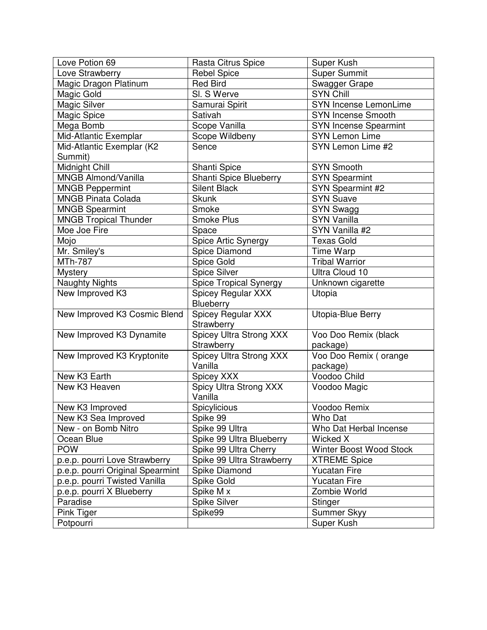| Love Potion 69                   | Rasta Citrus Spice             | Super Kush                   |
|----------------------------------|--------------------------------|------------------------------|
| Love Strawberry                  | <b>Rebel Spice</b>             | <b>Super Summit</b>          |
| Magic Dragon Platinum            | <b>Red Bird</b>                | <b>Swagger Grape</b>         |
| Magic Gold                       | SI. S Werve                    | <b>SYN Chill</b>             |
| Magic Silver                     | Samurai Spirit                 | SYN Incense LemonLime        |
| Magic Spice                      | Sativah                        | <b>SYN Incense Smooth</b>    |
| Mega Bomb                        | Scope Vanilla                  | <b>SYN Incense Spearmint</b> |
| Mid-Atlantic Exemplar            | Scope Wildbeny                 | <b>SYN Lemon Lime</b>        |
| Mid-Atlantic Exemplar (K2        | Sence                          | SYN Lemon Lime #2            |
| Summit)                          |                                |                              |
| Midnight Chill                   | Shanti Spice                   | <b>SYN Smooth</b>            |
| MNGB Almond/Vanilla              | Shanti Spice Blueberry         | <b>SYN Spearmint</b>         |
| <b>MNGB Peppermint</b>           | <b>Silent Black</b>            | SYN Spearmint #2             |
| <b>MNGB Pinata Colada</b>        | <b>Skunk</b>                   | <b>SYN Suave</b>             |
| <b>MNGB Spearmint</b>            | Smoke                          | SYN Swagg                    |
| <b>MNGB Tropical Thunder</b>     | Smoke Plus                     | <b>SYN Vanilla</b>           |
| Moe Joe Fire                     | Space                          | SYN Vanilla #2               |
| Mojo                             | Spice Artic Synergy            | <b>Texas Gold</b>            |
| Mr. Smiley's                     | Spice Diamond                  | Time Warp                    |
| <b>MTh-787</b>                   | Spice Gold                     | <b>Tribal Warrior</b>        |
| <b>Mystery</b>                   | Spice Silver                   | Ultra Cloud 10               |
| <b>Naughty Nights</b>            | <b>Spice Tropical Synergy</b>  | Unknown cigarette            |
| New Improved K3                  | Spicey Regular XXX             | Utopia                       |
|                                  | Blueberry                      |                              |
| New Improved K3 Cosmic Blend     | Spicey Regular XXX             | Utopia-Blue Berry            |
|                                  | Strawberry                     |                              |
| New Improved K3 Dynamite         | <b>Spicey Ultra Strong XXX</b> | Voo Doo Remix (black         |
|                                  | Strawberry                     | package)                     |
| New Improved K3 Kryptonite       | Spicey Ultra Strong XXX        | Voo Doo Remix (orange        |
|                                  | Vanilla                        | package)                     |
| New K3 Earth                     | Spicey XXX                     | Voodoo Child                 |
| New K3 Heaven                    | Spicy Ultra Strong XXX         | Voodoo Magic                 |
|                                  | Vanilla                        |                              |
| New K3 Improved                  | Spicylicious                   | Voodoo Remix                 |
| New K3 Sea Improved              | Spike 99                       | Who Dat                      |
| New - on Bomb Nitro              | Spike 99 Ultra                 | Who Dat Herbal Incense       |
| Ocean Blue                       | Spike 99 Ultra Blueberry       | Wicked X                     |
| <b>POW</b>                       | Spike 99 Ultra Cherry          | Winter Boost Wood Stock      |
| p.e.p. pourri Love Strawberry    | Spike 99 Ultra Strawberry      | <b>XTREME Spice</b>          |
| p.e.p. pourri Original Spearmint | Spike Diamond                  | <b>Yucatan Fire</b>          |
| p.e.p. pourri Twisted Vanilla    | Spike Gold                     | Yucatan Fire                 |
| p.e.p. pourri X Blueberry        | Spike M x                      | Zombie World                 |
| Paradise                         | Spike Silver                   | Stinger                      |
| Pink Tiger                       | Spike99                        | Summer Skyy                  |
| Potpourri                        |                                | Super Kush                   |